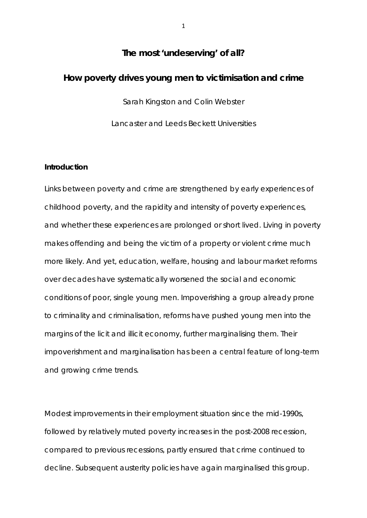# **The most 'undeserving' of all?**

# **How poverty drives young men to victimisation and crime**

Sarah Kingston and Colin Webster

Lancaster and Leeds Beckett Universities

### **Introduction**

Links between poverty and crime are strengthened by early experiences of childhood poverty, and the rapidity and intensity of poverty experiences, and whether these experiences are prolonged or short lived. Living in poverty makes offending and being the victim of a property or violent crime much more likely. And yet, education, welfare, housing and labour market reforms over decades have systematically worsened the social and economic conditions of poor, single young men. Impoverishing a group already prone to criminality and criminalisation, reforms have pushed young men into the margins of the licit and illicit economy, further marginalising them. Their impoverishment and marginalisation has been a central feature of long-term and growing crime trends.

Modest improvements in their employment situation since the mid-1990s, followed by relatively muted poverty increases in the post-2008 recession, compared to previous recessions, partly ensured that crime continued to decline. Subsequent austerity policies have again marginalised this group.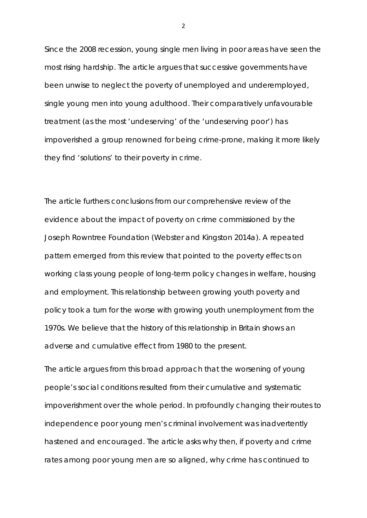Since the 2008 recession, young single men living in poor areas have seen the most rising hardship. The article argues that successive governments have been unwise to neglect the poverty of unemployed and underemployed, single young men into young adulthood. Their comparatively unfavourable treatment (as the most 'undeserving' of the 'undeserving poor') has impoverished a group renowned for being crime-prone, making it more likely they find 'solutions' to their poverty in crime.

The article furthers conclusions from our comprehensive review of the evidence about the impact of poverty on crime commissioned by the Joseph Rowntree Foundation (Webster and Kingston 2014a). A repeated pattern emerged from this review that pointed to the poverty effects on working class young people of long-term policy changes in welfare, housing and employment. This relationship between growing youth poverty and policy took a turn for the worse with growing youth unemployment from the 1970s. We believe that the history of this relationship in Britain shows an adverse and cumulative effect from 1980 to the present.

The article argues from this broad approach that the worsening of young people's social conditions resulted from their cumulative and systematic impoverishment over the whole period. In profoundly changing their routes to independence poor young men's criminal involvement was inadvertently hastened and encouraged. The article asks why then, if poverty and crime rates among poor young men are so aligned, why crime has continued to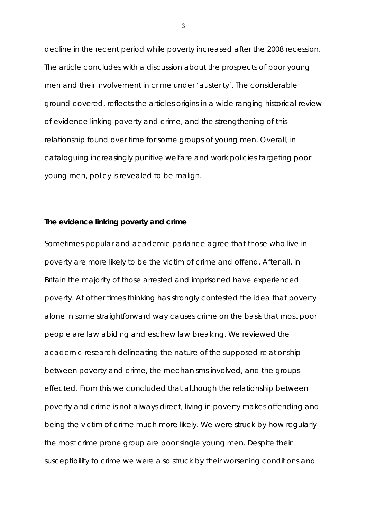decline in the recent period while poverty increased after the 2008 recession. The article concludes with a discussion about the prospects of poor young men and their involvement in crime under 'austerity'. The considerable ground covered, reflects the articles origins in a wide ranging historical review of evidence linking poverty and crime, and the strengthening of this relationship found over time for some groups of young men. Overall, in cataloguing increasingly punitive welfare and work policies targeting poor young men, policy is revealed to be malign.

#### **The evidence linking poverty and crime**

Sometimes popular and academic parlance agree that those who live in poverty are more likely to be the victim of crime and offend. After all, in Britain the majority of those arrested and imprisoned have experienced poverty. At other times thinking has strongly contested the idea that poverty alone in some straightforward way causes crime on the basis that most poor people are law abiding and eschew law breaking. We reviewed the academic research delineating the nature of the supposed relationship between poverty and crime, the mechanisms involved, and the groups effected. From this we concluded that although the relationship between poverty and crime is not always direct, living in poverty makes offending and being the victim of crime much more likely. We were struck by how regularly the most crime prone group are poor single young men. Despite their susceptibility to crime we were also struck by their worsening conditions and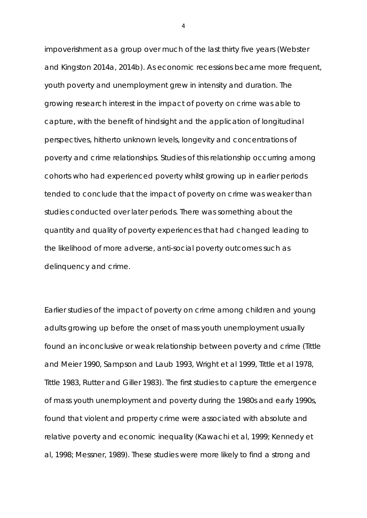impoverishment as a group over much of the last thirty five years (Webster and Kingston 2014a, 2014b). As economic recessions became more frequent, youth poverty and unemployment grew in intensity and duration. The growing research interest in the impact of poverty on crime was able to capture, with the benefit of hindsight and the application of longitudinal perspectives, hitherto unknown levels, longevity and concentrations of poverty and crime relationships. Studies of this relationship occurring among cohorts who had experienced poverty whilst growing up in earlier periods tended to conclude that the impact of poverty on crime was weaker than studies conducted over later periods. There was something about the quantity and quality of poverty experiences that had changed leading to the likelihood of more adverse, anti-social poverty outcomes such as delinquency and crime.

Earlier studies of the impact of poverty on crime among children and young adults growing up before the onset of mass youth unemployment usually found an inconclusive or weak relationship between poverty and crime (Tittle and Meier 1990, Sampson and Laub 1993, Wright et al 1999, Tittle et al 1978, Tittle 1983, Rutter and Giller 1983). The first studies to capture the emergence of mass youth unemployment and poverty during the 1980s and early 1990s, found that violent and property crime were associated with absolute and relative poverty and economic inequality (Kawachi et al, 1999; Kennedy et al, 1998; Messner, 1989). These studies were more likely to find a strong and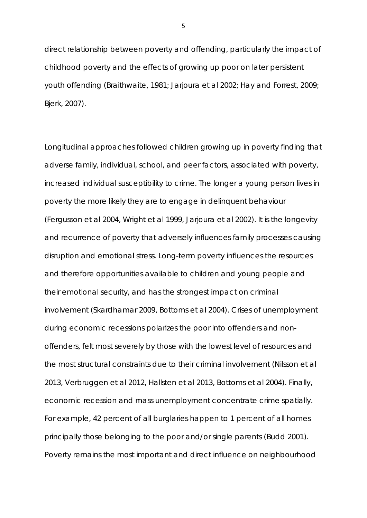direct relationship between poverty and offending, particularly the impact of childhood poverty and the effects of growing up poor on later persistent youth offending (Braithwaite, 1981; Jarjoura et al 2002; Hay and Forrest, 2009; Bjerk, 2007).

Longitudinal approaches followed children growing up in poverty finding that adverse family, individual, school, and peer factors, associated with poverty, increased individual susceptibility to crime. The longer a young person lives in poverty the more likely they are to engage in delinquent behaviour (Fergusson et al 2004, Wright et al 1999, Jarjoura et al 2002). It is the longevity and recurrence of poverty that adversely influences family processes causing disruption and emotional stress. Long-term poverty influences the resources and therefore opportunities available to children and young people and their emotional security, and has the strongest impact on criminal involvement (Skardhamar 2009, Bottoms et al 2004). Crises of unemployment during economic recessions polarizes the poor into offenders and nonoffenders, felt most severely by those with the lowest level of resources and the most structural constraints due to their criminal involvement (Nilsson et al 2013, Verbruggen et al 2012, Hallsten et al 2013, Bottoms et al 2004). Finally, economic recession and mass unemployment concentrate crime spatially. For example, 42 percent of all burglaries happen to 1 percent of all homes principally those belonging to the poor and/or single parents (Budd 2001). Poverty remains the most important and direct influence on neighbourhood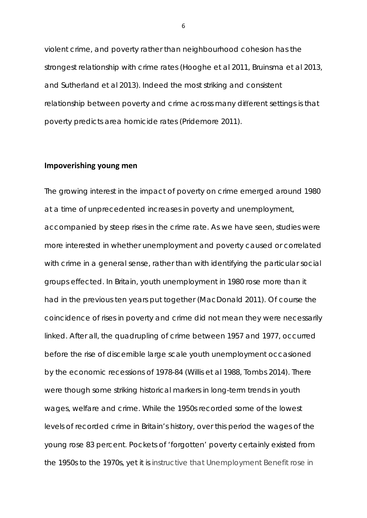violent crime, and poverty rather than neighbourhood cohesion has the strongest relationship with crime rates (Hooghe et al 2011, Bruinsma et al 2013, and Sutherland et al 2013). Indeed the most striking and consistent relationship between poverty and crime across many different settings is that poverty predicts area homicide rates (Pridemore 2011).

# **Impoverishing young men**

The growing interest in the impact of poverty on crime emerged around 1980 at a time of unprecedented increases in poverty and unemployment, accompanied by steep rises in the crime rate. As we have seen, studies were more interested in whether unemployment and poverty caused or correlated with crime in a general sense, rather than with identifying the particular social groups effected. In Britain, *youth* unemployment in 1980 rose more than it had in the previous ten years put together (MacDonald 2011). Of course the coincidence of rises in poverty and crime did not mean they were necessarily linked. After all, the quadrupling of crime between 1957 and 1977, occurred *before* the rise of discernible large scale youth unemployment occasioned by the economic recessions of 1978-84 (Willis et al 1988, Tombs 2014). There were though some striking historical markers in long-term trends in youth wages, welfare and crime. While the 1950s recorded some of the lowest levels of recorded crime in Britain's history, over this period the wages of the young rose 83 percent. Pockets of 'forgotten' poverty certainly existed from the 1950s to the 1970s, yet it is instructive that Unemployment Benefit rose in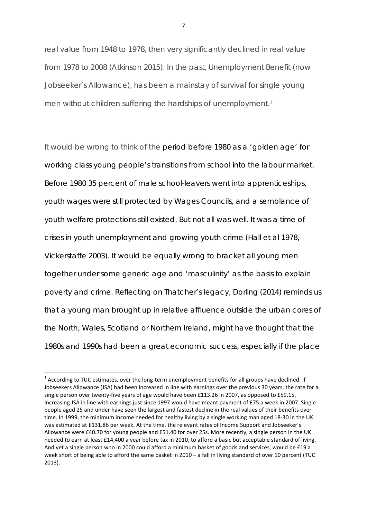real value from 1948 to 1978, then very significantly declined in real value from 1978 to 2008 (Atkinson 2015). In the past, Unemployment Benefit (now Jobseeker's Allowance), has been a mainstay of survival for single young men without children suffering the hardships of unemployment.<sup>[1](#page-6-0)</sup>

It would be wrong to think of the period before 1980 as a 'golden age' for working class young people's transitions from school into the labour market. Before 1980 35 percent of male school-leavers went into apprenticeships, youth wages were still protected by Wages Councils, and a semblance of youth welfare protections still existed. But not all was well. It was a time of crises in youth unemployment and growing youth crime (Hall et al 1978, Vickerstaffe 2003). It would be equally wrong to bracket all young men together under some generic age and 'masculinity' as the basis to explain poverty and crime. Reflecting on Thatcher's legacy, Dorling (2014) reminds us that a young man brought up in relative affluence outside the urban cores of the North, Wales, Scotland or Northern Ireland, might have thought that the 1980s and 1990s had been a great economic success, especially if the place

<span id="page-6-0"></span> $1$  According to TUC estimates, over the long-term unemployment benefits for all groups have declined. If Jobseekers Allowance (JSA) had been increased in line with earnings over the previous 30 years, the rate for a single person over twenty-five years of age would have been £113.26 in 2007, as opposed to £59.15. Increasing JSA in line with earnings just since 1997 would have meant payment of £75 a week in 2007. Single people aged 25 and under have seen the largest and fastest decline in the real values of their benefits over time. In 1999, the minimum income needed for healthy living by a single working man aged 18-30 in the UK was estimated at £131.86 per week. At the time, the relevant rates of Income Support and Jobseeker's Allowance were £40.70 for young people and £51.40 for over 25s. More recently, a single person in the UK needed to earn at least £14,400 a year before tax in 2010, to afford a basic but acceptable standard of living. And yet a single person who in 2000 could afford a minimum basket of goods and services, would be £19 a week short of being able to afford the same basket in 2010 – a fall in living standard of over 10 percent (TUC 2013).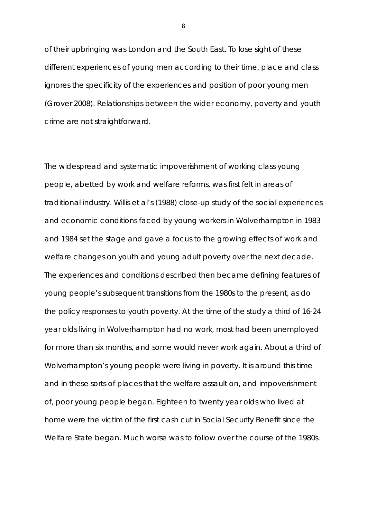of their upbringing was London and the South East. To lose sight of these different experiences of young men according to their time, place and class ignores the specificity of the experiences and position of poor young men (Grover 2008). Relationships between the wider economy, poverty and youth crime are not straightforward.

The widespread and systematic impoverishment of working class young people, abetted by work and welfare reforms, was first felt in areas of traditional industry. Willis et al's (1988) close-up study of the social experiences and economic conditions faced by young workers in Wolverhampton in 1983 and 1984 set the stage and gave a focus to the growing effects of work and welfare changes on youth and young adult poverty over the next decade. The experiences and conditions described then became defining features of young people's subsequent transitions from the 1980s to the present, as do the policy responses to youth poverty. At the time of the study a third of 16-24 year olds living in Wolverhampton had no work, most had been unemployed for more than six months, and some would never work again. About a third of Wolverhampton's young people were living in poverty. It is around this time and in these sorts of places that the welfare assault on, and impoverishment of, poor young people began. Eighteen to twenty year olds who lived at home were the victim of the first cash cut in Social Security Benefit since the Welfare State began. Much worse was to follow over the course of the 1980s.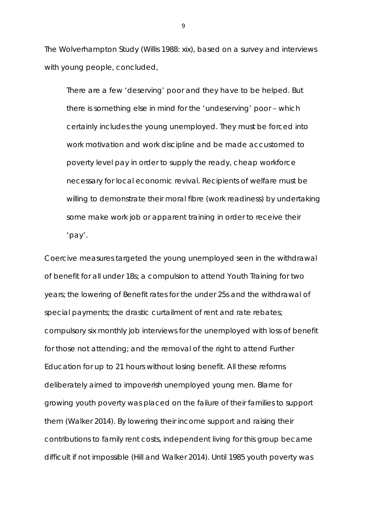The Wolverhampton Study (Willis 1988: xix), based on a survey and interviews with young people, concluded,

There are a few 'deserving' poor and they have to be helped. But there is something else in mind for the 'undeserving' poor – which certainly includes the young unemployed. They must be forced into work motivation and work discipline and be made accustomed to poverty level pay in order to supply the ready, cheap workforce necessary for local economic revival. Recipients of welfare must be willing to demonstrate their moral fibre (work readiness) by undertaking some make work job or apparent training in order to receive their 'pay'.

Coercive measures targeted the young unemployed seen in the withdrawal of benefit for all under 18s; a compulsion to attend Youth Training for two years; the lowering of Benefit rates for the under 25s and the withdrawal of special payments; the drastic curtailment of rent and rate rebates; compulsory six monthly job interviews for the unemployed with loss of benefit for those not attending; and the removal of the right to attend Further Education for up to 21 hours without losing benefit. All these reforms deliberately aimed to impoverish unemployed young men. Blame for growing youth poverty was placed on the failure of their families to support them (Walker 2014). By lowering their income support and raising their contributions to family rent costs, independent living for this group became difficult if not impossible (Hill and Walker 2014). Until 1985 youth poverty was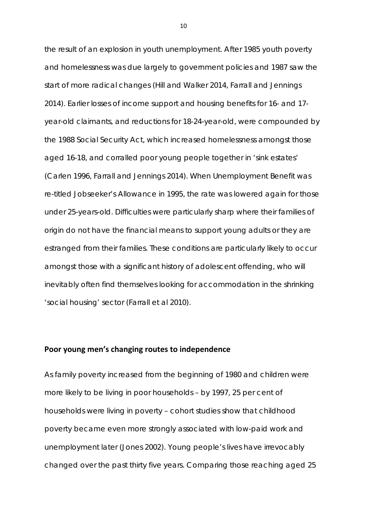the result of an explosion in youth unemployment. After 1985 youth poverty and homelessness was due largely to government policies and 1987 saw the start of more radical changes (Hill and Walker 2014, Farrall and Jennings 2014). Earlier losses of income support and housing benefits for 16- and 17 year-old claimants, and reductions for 18-24-year-old, were compounded by the 1988 Social Security Act, which increased homelessness amongst those aged 16-18, and corralled poor young people together in 'sink estates' (Carlen 1996, Farrall and Jennings 2014). When Unemployment Benefit was re-titled Jobseeker's Allowance in 1995, the rate was lowered again for those under 25-years-old. Difficulties were particularly sharp where their families of origin do not have the financial means to support young adults or they are estranged from their families. These conditions are particularly likely to occur amongst those with a significant history of adolescent offending, who will inevitably often find themselves looking for accommodation in the shrinking 'social housing' sector (Farrall et al 2010).

# **Poor young men's changing routes to independence**

As family poverty increased from the beginning of 1980 and children were more likely to be living in poor households – by 1997, 25 per cent of households were living in poverty – cohort studies show that childhood poverty became even more strongly associated with low-paid work and unemployment later (Jones 2002). Young people's lives have irrevocably changed over the past thirty five years. Comparing those reaching aged 25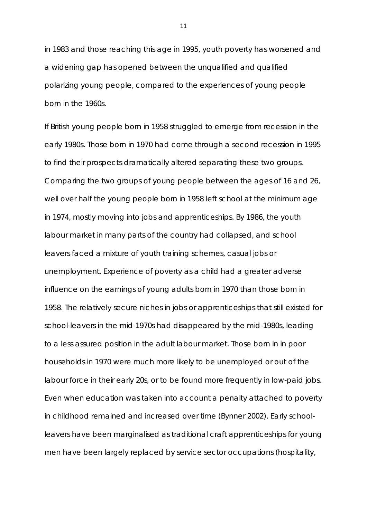in 1983 and those reaching this age in 1995, youth poverty has worsened and a widening gap has opened between the unqualified and qualified polarizing young people, compared to the experiences of young people born in the 1960s.

If British young people born in 1958 struggled to emerge from recession in the early 1980s. Those born in 1970 had come through a second recession in 1995 to find their prospects dramatically altered separating these two groups. Comparing the two groups of young people between the ages of 16 and 26, well over half the young people born in 1958 left school at the minimum age in 1974, mostly moving into jobs and apprenticeships. By 1986, the youth labour market in many parts of the country had collapsed, and school leavers faced a mixture of youth training schemes, casual jobs or unemployment. Experience of poverty as a child had a greater adverse influence on the earnings of young adults born in 1970 than those born in 1958. The relatively secure niches in jobs or apprenticeships that still existed for school-leavers in the mid-1970s had disappeared by the mid-1980s, leading to a less assured position in the adult labour market. Those born in in poor households in 1970 were much more likely to be unemployed or out of the labour force in their early 20s, or to be found more frequently in low-paid jobs. Even when education was taken into account a penalty attached to poverty in childhood remained and increased over time (Bynner 2002). Early schoolleavers have been marginalised as traditional craft apprenticeships for young men have been largely replaced by service sector occupations (hospitality,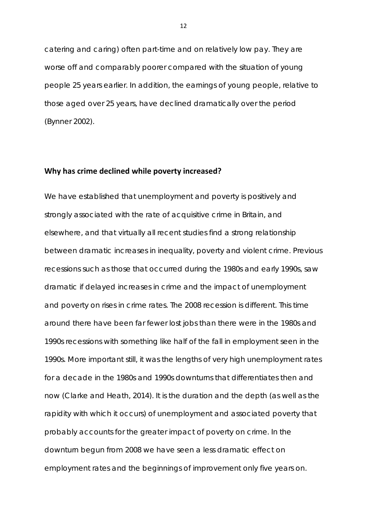catering and caring) often part-time and on relatively low pay. They are worse off and comparably poorer compared with the situation of young people 25 years earlier. In addition, the earnings of young people, relative to those aged over 25 years, have declined dramatically over the period (Bynner 2002).

# **Why has crime declined while poverty increased?**

We have established that unemployment and poverty is positively and strongly associated with the rate of acquisitive crime in Britain, and elsewhere, and that virtually all recent studies find a strong relationship between dramatic increases in inequality, poverty and violent crime. Previous recessions such as those that occurred during the 1980s and early 1990s, saw dramatic if delayed increases in crime and the impact of unemployment and poverty on rises in crime rates. The 2008 recession is different. This time around there have been far fewer lost jobs than there were in the 1980s and 1990s recessions with something like half of the fall in employment seen in the 1990s. More important still, it was the lengths of very high unemployment rates for a decade in the 1980s and 1990s downturns that differentiates then and now (Clarke and Heath, 2014). It is the duration and the depth (as well as the rapidity with which it occurs) of unemployment and associated poverty that probably accounts for the greater impact of poverty on crime. In the downturn begun from 2008 we have seen a less dramatic effect on employment rates and the beginnings of improvement only five years on.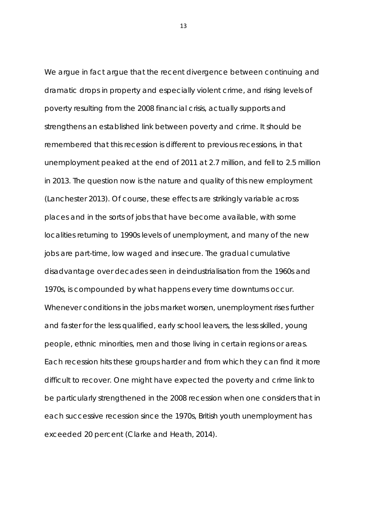We argue in fact argue that the recent divergence between continuing and dramatic drops in property and especially violent crime, and rising levels of poverty resulting from the 2008 financial crisis, actually supports and strengthens an established link between poverty and crime. It should be remembered that this recession is different to previous recessions, in that unemployment peaked at the end of 2011 at 2.7 million, and fell to 2.5 million in 2013. The question now is the nature and quality of this new employment (Lanchester 2013). Of course, these effects are strikingly variable across places and in the sorts of jobs that have become available, with some localities returning to 1990s levels of unemployment, and many of the new jobs are part-time, low waged and insecure. The gradual cumulative disadvantage over decades seen in deindustrialisation from the 1960s and 1970s, is compounded by what happens every time downturns occur. Whenever conditions in the jobs market worsen, unemployment rises further and faster for the less qualified, early school leavers, the less skilled, young people, ethnic minorities, men and those living in certain regions or areas. Each recession hits these groups harder and from which they can find it more difficult to recover. One might have expected the poverty and crime link to be particularly strengthened in the 2008 recession when one considers that in each successive recession since the 1970s, British youth unemployment has exceeded 20 percent (Clarke and Heath, 2014).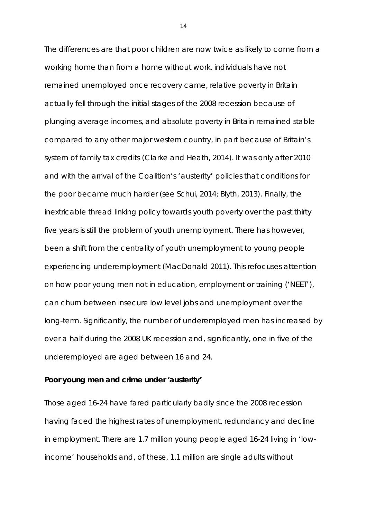The differences are that poor children are now twice as likely to come from a working home than from a home without work, individuals have not remained unemployed once recovery came, relative poverty in Britain actually *fell* through the initial stages of the 2008 recession because of plunging average incomes, and absolute poverty in Britain remained stable compared to any other major western country, in part because of Britain's system of family tax credits (Clarke and Heath, 2014). It was only after 2010 and with the arrival of the Coalition's 'austerity' policies that conditions for the poor became much harder (see Schui, 2014; Blyth, 2013). Finally, the inextricable thread linking policy towards youth poverty over the past thirty five years is still the problem of youth unemployment. There has however, been a shift from the centrality of youth unemployment to young people experiencing underemployment (MacDonald 2011). This refocuses attention on how poor young men not in education, employment or training ('NEET'), can churn between insecure low level jobs and unemployment over the long-term. Significantly, the number of underemployed men has increased by over a half during the 2008 UK recession and, significantly, one in five of the underemployed are aged between 16 and 24.

## **Poor young men and crime under 'austerity'**

Those aged 16-24 have fared particularly badly since the 2008 recession having faced the highest rates of unemployment, redundancy and decline in employment. There are 1.7 million young people aged 16-24 living in 'lowincome' households and, of these, 1.1 million are single adults without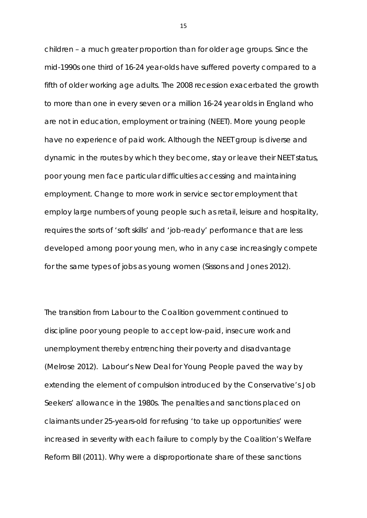children – a much greater proportion than for older age groups. Since the mid-1990s one third of 16-24 year-olds have suffered poverty compared to a fifth of older working age adults. The 2008 recession exacerbated the growth to more than one in every seven or a million 16-24 year olds in England who are not in education, employment or training (NEET). More young people have no experience of paid work. Although the NEET group is diverse and dynamic in the routes by which they become, stay or leave their NEET status, poor young men face particular difficulties accessing and maintaining employment. Change to more work in service sector employment that employ large numbers of young people such as retail, leisure and hospitality, requires the sorts of 'soft skills' and 'job-ready' performance that are less developed among poor young men, who in any case increasingly compete for the same types of jobs as young women (Sissons and Jones 2012).

The transition from Labour to the Coalition government continued to discipline poor young people to accept low-paid, insecure work and unemployment thereby entrenching their poverty and disadvantage (Melrose 2012). Labour's *New Deal for Young People* paved the way by extending the element of compulsion introduced by the Conservative's Job Seekers' allowance in the 1980s. The penalties and sanctions placed on claimants under 25-years-old for refusing 'to take up opportunities' were increased in severity with each failure to comply by the Coalition's Welfare Reform Bill (2011). Why were a disproportionate share of these sanctions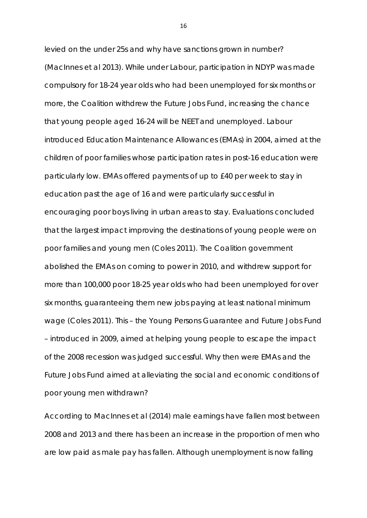levied on the under 25s and why have sanctions grown in number? (MacInnes et al 2013). While under Labour, participation in NDYP was made compulsory for 18-24 year olds who had been unemployed for six months or more, the Coalition withdrew the Future Jobs Fund, increasing the chance that young people aged 16-24 will be NEET and unemployed. Labour introduced Education Maintenance Allowances (EMAs) in 2004, aimed at the children of poor families whose participation rates in post-16 education were particularly low. EMAs offered payments of up to £40 per week to stay in education past the age of 16 and were particularly successful in encouraging poor boys living in urban areas to stay. Evaluations concluded that the largest impact improving the destinations of young people were on poor families and young men (Coles 2011). The Coalition government abolished the EMAs on coming to power in 2010, and withdrew support for more than 100,000 poor 18-25 year olds who had been unemployed for over six months, guaranteeing them new jobs paying at least national minimum wage (Coles 2011). This – the Young Persons Guarantee and Future Jobs Fund – introduced in 2009, aimed at helping young people to escape the impact of the 2008 recession was judged successful. Why then were EMAs and the Future Jobs Fund aimed at alleviating the social and economic conditions of poor young men withdrawn?

According to MacInnes et al (2014) male earnings have fallen most between 2008 and 2013 and there has been an increase in the proportion of men who are low paid as male pay has fallen. Although unemployment is now falling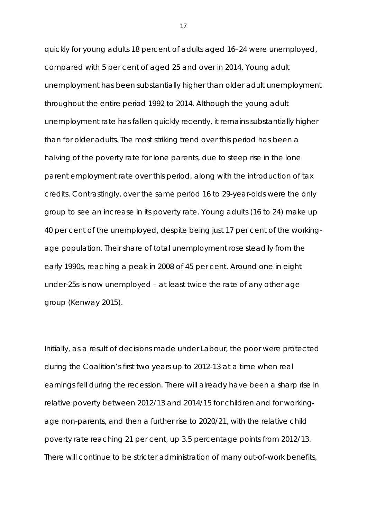quickly for young adults 18 percent of adults aged 16–24 were unemployed, compared with 5 per cent of aged 25 and over in 2014. Young adult unemployment has been substantially higher than older adult unemployment throughout the entire period 1992 to 2014. Although the young adult unemployment rate has fallen quickly recently, it remains substantially higher than for older adults. The most striking trend over this period has been a halving of the poverty rate for lone parents, due to steep rise in the lone parent employment rate over this period, along with the introduction of tax credits. Contrastingly, over the same period 16 to 29-year-olds were the only group to see an increase in its poverty rate. Young adults (16 to 24) make up 40 per cent of the unemployed, despite being just 17 per cent of the workingage population. Their share of total unemployment rose steadily from the early 1990s, reaching a peak in 2008 of 45 per cent. Around one in eight under-25s is now unemployed – at least twice the rate of any other age group (Kenway 2015).

Initially, as a result of decisions made under Labour, the poor were protected during the Coalition's first two years up to 2012-13 at a time when real earnings fell during the recession. There will already have been a sharp rise in relative poverty between 2012/13 and 2014/15 for children and for workingage non-parents, and then a further rise to 2020/21, with the relative child poverty rate reaching 21 per cent, up 3.5 percentage points from 2012/13. There will continue to be stricter administration of many out-of-work benefits,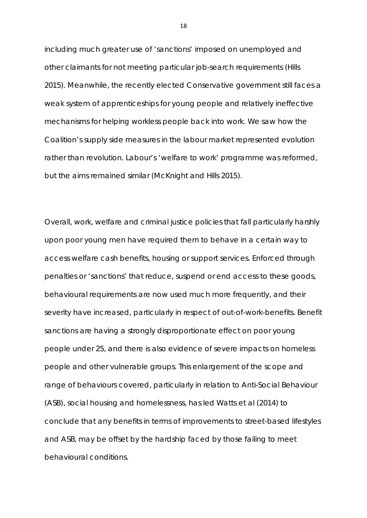including much greater use of 'sanctions' imposed on unemployed and other claimants for not meeting particular job-search requirements (Hills 2015). Meanwhile, the recently elected Conservative government still faces a weak system of apprenticeships for young people and relatively ineffective mechanisms for helping workless people back into work. We saw how the Coalition's supply side measures in the labour market represented evolution rather than revolution. Labour's 'welfare to work' programme was reformed, but the aims remained similar (McKnight and Hills 2015).

Overall, work, welfare and criminal justice policies that fall particularly harshly upon poor young men have required them to behave in a certain way to access welfare cash benefits, housing or support services. Enforced through penalties or 'sanctions' that reduce, suspend or end access to these goods, behavioural requirements are now used much more frequently, and their severity have increased, particularly in respect of out-of-work-benefits. Benefit sanctions are having a strongly disproportionate effect on poor young people under 25, and there is also evidence of severe impacts on homeless people and other vulnerable groups. This enlargement of the scope and range of behaviours covered, particularly in relation to Anti-Social Behaviour (ASB), social housing and homelessness, has led Watts et al (2014) to conclude that any benefits in terms of improvements to street-based lifestyles and ASB, may be offset by the hardship faced by those failing to meet behavioural conditions.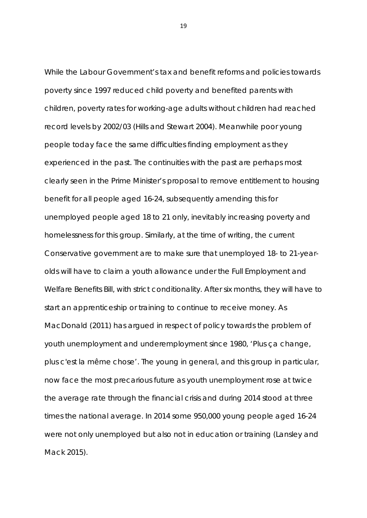While the Labour Government's tax and benefit reforms and policies towards poverty since 1997 reduced child poverty and benefited parents with children, poverty rates for working-age adults without children had reached record levels by 2002/03 (Hills and Stewart 2004). Meanwhile poor young people today face the same difficulties finding employment as they experienced in the past. The continuities with the past are perhaps most clearly seen in the Prime Minister's proposal to remove entitlement to housing benefit for all people aged 16-24, subsequently amending this for unemployed people aged 18 to 21 only, inevitably increasing poverty and homelessness for this group. Similarly, at the time of writing, the current Conservative government are to make sure that unemployed 18- to 21-yearolds will have to claim a youth allowance under the Full Employment and Welfare Benefits Bill, with strict conditionality. After six months, they will have to start an apprenticeship or training to continue to receive money. As MacDonald (2011) has argued in respect of policy towards the problem of youth unemployment and underemployment since 1980, 'Plus ça change, plus c'est la même chose'. The young in general, and this group in particular, now face the most precarious future as youth unemployment rose at twice the average rate through the financial crisis and during 2014 stood at three times the national average. In 2014 some 950,000 young people aged 16-24 were not only unemployed but also not in education or training (Lansley and Mack 2015).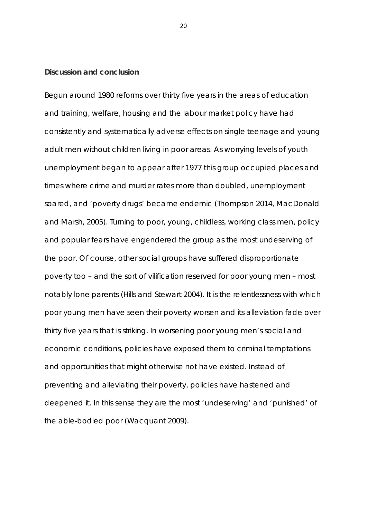# **Discussion and conclusion**

Begun around 1980 reforms over thirty five years in the areas of education and training, welfare, housing and the labour market policy have had consistently and systematically adverse effects on single teenage and young adult men without children living in poor areas. As worrying levels of youth unemployment began to appear after 1977 this group occupied places and times where crime and murder rates more than doubled, unemployment soared, and 'poverty drugs' became endemic (Thompson 2014, MacDonald and Marsh, 2005). Turning to poor, young, childless, working class men, policy and popular fears have engendered the group as the most undeserving of the poor. Of course, other social groups have suffered disproportionate poverty too – and the sort of vilification reserved for poor young men – most notably lone parents (Hills and Stewart 2004). It is the relentlessness with which poor young men have seen their poverty worsen and its alleviation fade over thirty five years that is striking. In worsening poor young men's social and economic conditions, policies have exposed them to criminal temptations and opportunities that might otherwise not have existed. Instead of preventing and alleviating their poverty, policies have hastened and deepened it. In this sense they are the most 'undeserving' and 'punished' of the able-bodied poor (Wacquant 2009).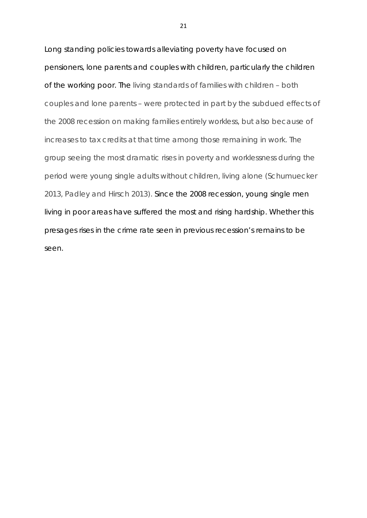Long standing policies towards alleviating poverty have focused on pensioners, lone parents and couples with children, particularly the children of the working poor. The living standards of families with children – both couples and lone parents – were protected in part by the subdued effects of the 2008 recession on making families entirely workless, but also because of increases to tax credits at that time among those remaining in work. The group seeing the most dramatic rises in poverty and worklessness during the period were young single adults without children, living alone (Schumuecker 2013, Padley and Hirsch 2013). Since the 2008 recession, young single men living in poor areas have suffered the most and rising hardship. Whether this presages rises in the crime rate seen in previous recession's remains to be seen.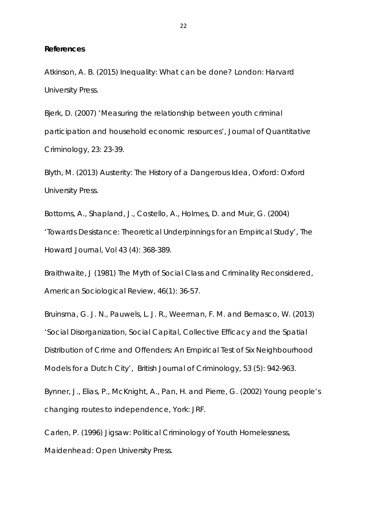#### **References**

Atkinson, A. B. (2015) *Inequality: What can be done?* London: Harvard University Press.

Bjerk, D. (2007) 'Measuring the relationship between youth criminal participation and household economic resources', *Journal of Quantitative Criminology*, 23: 23-39.

Blyth, M. (2013) *Austerity: The History of a Dangerous Idea*, Oxford: Oxford University Press.

Bottoms, A., Shapland, J., Costello, A., Holmes, D. and Muir, G. (2004) 'Towards Desistance: Theoretical Underpinnings for an Empirical Study', *The Howard Journal*, Vol 43 (4): 368-389.

Braithwaite, J (1981) The Myth of Social Class and Criminality Reconsidered, *American Sociological Review*, 46(1): 36-57.

Bruinsma, G. J. N., Pauwels, L. J. R., Weerman, F. M. and Bernasco, W. (2013) 'Social Disorganization, Social Capital, Collective Efficacy and the Spatial Distribution of Crime and Offenders: An Empirical Test of Six Neighbourhood Models for a Dutch City', *British Journal of Criminology*, 53 (5): 942-963.

Bynner, J., Elias, P., McKnight, A., Pan, H. and Pierre, G. (2002) *Young people's changing routes to independence*, York: JRF.

Carlen, P. (1996) *Jigsaw: Political Criminology of Youth Homelessness*, Maidenhead: Open University Press.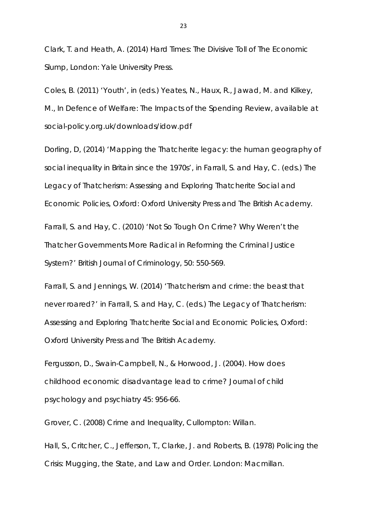Clark, T. and Heath, A. (2014) *Hard Times: The Divisive Toll of The Economic Slump*, London: Yale University Press.

Coles, B. (2011) 'Youth', in (eds.) Yeates, N., Haux, R., Jawad, M. and Kilkey, M., *In Defence of Welfare: The Impacts of the Spending Review*, available at social-policy.org.uk/downloads/idow.pdf

Dorling, D, (2014) 'Mapping the Thatcherite legacy: the human geography of social inequality in Britain since the 1970s', in Farrall, S. and Hay, C. (eds.) *The Legacy of Thatcherism: Assessing and Exploring Thatcherite Social and Economic Policies*, Oxford: Oxford University Press and The British Academy.

Farrall, S. and Hay, C. (2010) 'Not So Tough On Crime? Why Weren't the Thatcher Governments More Radical in Reforming the Criminal Justice System?' *British Journal of Criminology*, 50: 550-569.

Farrall, S. and Jennings, W. (2014) 'Thatcherism and crime: the beast that never roared?' in Farrall, S. and Hay, C. (eds.) *The Legacy of Thatcherism: Assessing and Exploring Thatcherite Social and Economic Policies*, Oxford: Oxford University Press and The British Academy.

Fergusson, D., Swain-Campbell, N., & Horwood, J. (2004). How does childhood economic disadvantage lead to crime? *Journal of child psychology and psychiatry* 45: 956-66.

Grover, C. (2008) *Crime and Inequality*, Cullompton: Willan.

Hall, S., Critcher, C., Jefferson, T., Clarke, J. and Roberts, B. (1978) *Policing the Crisis: Mugging, the State, and Law and Order*. London: Macmillan.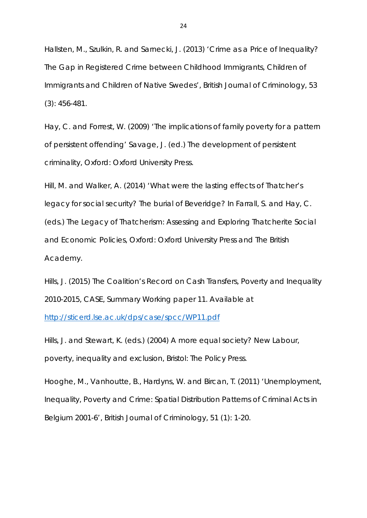Hallsten, M., Szulkin, R. and Sarnecki, J. (2013) 'Crime as a Price of Inequality? The Gap in Registered Crime between Childhood Immigrants, Children of Immigrants and Children of Native Swedes', *British Journal of Criminology*, 53 (3): 456-481.

Hay, C. and Forrest, W. (2009) 'The implications of family poverty for a pattern of persistent offending' Savage, J. (ed.) *The development of persistent criminality*, Oxford: Oxford University Press.

Hill, M. and Walker, A. (2014) 'What were the lasting effects of Thatcher's legacy for social security? The burial of Beveridge? In Farrall, S. and Hay, C. (eds.) *The Legacy of Thatcherism: Assessing and Exploring Thatcherite Social and Economic Policies*, Oxford: Oxford University Press and The British Academy.

Hills, J. (2015) The Coalition's Record on Cash Transfers, Poverty and Inequality 2010-2015, CASE, Summary Working paper 11. Available at <http://sticerd.lse.ac.uk/dps/case/spcc/WP11.pdf>

Hills, J. and Stewart, K. (eds.) (2004) *A more equal society? New Labour, poverty, inequality and exclusion*, Bristol: The Policy Press.

Hooghe, M., Vanhoutte, B., Hardyns, W. and Bircan, T. (2011) 'Unemployment, Inequality, Poverty and Crime: Spatial Distribution Patterns of Criminal Acts in Belgium 2001-6', *British Journal of Criminology*, 51 (1): 1-20.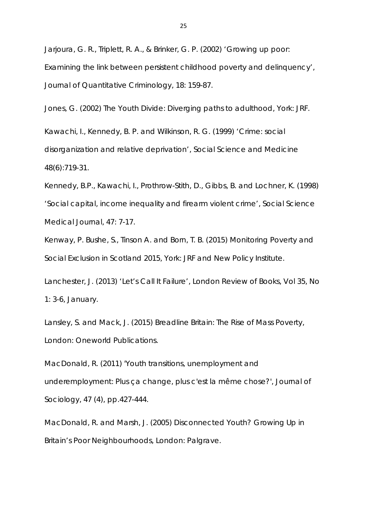Jarjoura, G. R., Triplett, R. A., & Brinker, G. P. (2002) 'Growing up poor: Examining the link between persistent childhood poverty and delinquency', *Journal of Quantitative Criminology*, 18: 159-87.

Jones, G. (2002) *The Youth Divide: Diverging paths to adulthood*, York: JRF.

Kawachi, I., Kennedy, B. P. and Wilkinson, R. G. (1999) 'Crime: social disorganization and relative deprivation', *Social Science and Medicine* 48(6):719-31.

Kennedy, B.P., Kawachi, I., Prothrow-Stith, D., Gibbs, B. and Lochner, K. (1998) 'Social capital, income inequality and firearm violent crime', *Social Science Medical Journal*, 47: 7-17.

Kenway, P. Bushe, S., Tinson A. and Born, T. B. (2015) *Monitoring Poverty and Social Exclusion in Scotland 2015*, York: JRF and New Policy Institute.

Lanchester, J. (2013) 'Let's Call It Failure', *London Review of Books*, Vol 35, No 1: 3-6, January.

Lansley, S. and Mack, J. (2015) *Breadline Britain: The Rise of Mass Poverty*, London: Oneworld Publications.

MacDonald, R. (2011) 'Youth transitions, unemployment and underemployment: Plus ça change, plus c'est la même chose?', *Journal of Sociology*, 47 (4), pp.427-444.

MacDonald, R. and Marsh, J. (2005) *Disconnected Youth? Growing Up in Britain's Poor Neighbourhoods*, London: Palgrave.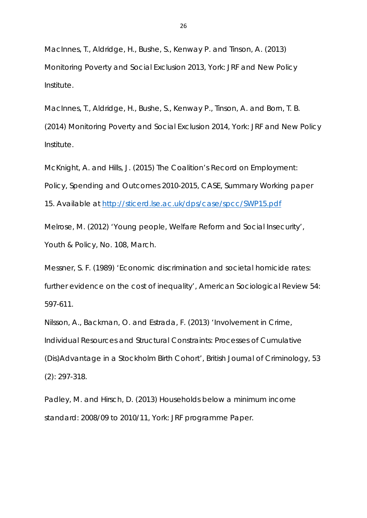MacInnes, T., Aldridge, H., Bushe, S., Kenway P. and Tinson, A. (2013) *Monitoring Poverty and Social Exclusion 2013*, York: JRF and New Policy Institute.

MacInnes, T., Aldridge, H., Bushe, S., Kenway P., Tinson, A. and Born, T. B. (2014) *Monitoring Poverty and Social Exclusion 2014*, York: JRF and New Policy Institute.

McKnight, A. and Hills, J. (2015) *The Coalition's Record on Employment: Policy, Spending and Outcomes 2010-2015*, CASE, Summary Working paper 15. Available at<http://sticerd.lse.ac.uk/dps/case/spcc/SWP15.pdf>

Melrose, M. (2012) 'Young people, Welfare Reform and Social Insecurity', *Youth & Policy*, No. 108, March.

Messner, S. F. (1989) 'Economic discrimination and societal homicide rates: further evidence on the cost of inequality', *American Sociological Review* 54: 597-611.

Nilsson, A., Backman, O. and Estrada, F. (2013) 'Involvement in Crime, Individual Resources and Structural Constraints: Processes of Cumulative (Dis)Advantage in a Stockholm Birth Cohort', *British Journal of Criminology*, 53 (2): 297-318.

Padley, M. and Hirsch, D. (2013) *Households below a minimum income standard: 2008/09 to 2010/11*, York: JRF programme Paper.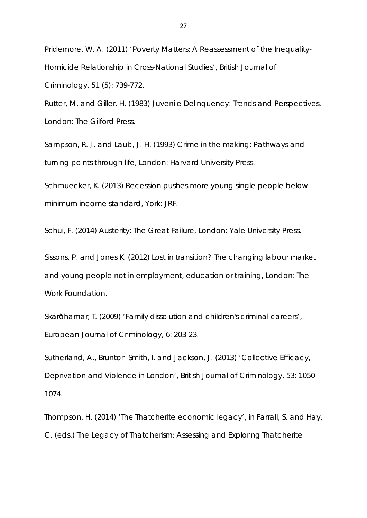Pridemore, W. A. (2011) 'Poverty Matters: A Reassessment of the Inequality-Homicide Relationship in Cross-National Studies', *British Journal of Criminology*, 51 (5): 739-772.

Rutter, M. and Giller, H. (1983) *Juvenile Delinquency: Trends and Perspectives*, London: The Gilford Press.

Sampson, R. J. and Laub, J. H. (1993) *Crime in the making: Pathways and turning points through life*, London: Harvard University Press.

Schmuecker, K. (2013) *Recession pushes more young single people below minimum income standard*, York: JRF.

Schui, F. (2014) *Austerity: The Great Failure*, London: Yale University Press.

Sissons, P. and Jones K. (2012) *Lost in transition? The changing labour market and young people not in employment, education or training*, London: The Work Foundation.

Skarðhamar, T. (2009) 'Family dissolution and children's criminal careers', *European Journal of Criminology*, 6: 203-23.

Sutherland, A., Brunton-Smith, I. and Jackson, J. (2013) 'Collective Efficacy, Deprivation and Violence in London', *British Journal of Criminology*, 53: 1050- 1074.

Thompson, H. (2014) 'The Thatcherite economic legacy', in Farrall, S. and Hay, C. (eds.) *The Legacy of Thatcherism: Assessing and Exploring Thatcherite*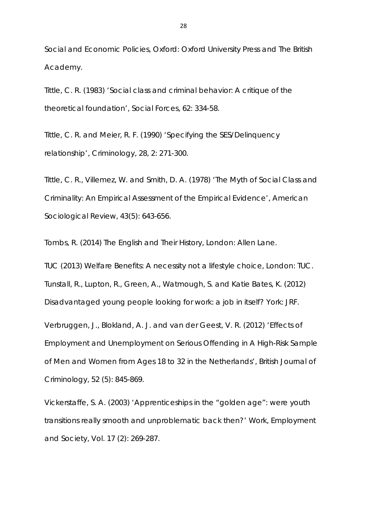*Social and Economic Policies*, Oxford: Oxford University Press and The British Academy.

Tittle, C. R. (1983) 'Social class and criminal behavior: A critique of the theoretical foundation', *Social Forces*, 62: 334-58.

Tittle, C. R. and Meier, R. F. (1990) 'Specifying the SES/Delinquency relationship', *Criminology*, 28, 2: 271-300.

Tittle, C. R., Villemez, W. and Smith, D. A. (1978) 'The Myth of Social Class and Criminality: An Empirical Assessment of the Empirical Evidence', *American Sociological Review*, 43(5): 643-656.

Tombs, R. (2014) *The English and Their History*, London: Allen Lane.

TUC (2013) *Welfare Benefits: A necessity not a lifestyle choice*, London: TUC. Tunstall, R., Lupton, R., Green, A., Watmough, S. and Katie Bates, K. (2012) *Disadvantaged young people looking for work: a job in itself?* York: JRF.

Verbruggen, J., Blokland, A. J. and van der Geest, V. R. (2012) 'Effects of Employment and Unemployment on Serious Offending in A High-Risk Sample of Men and Women from Ages 18 to 32 in the Netherlands', *British Journal of Criminology*, 52 (5): 845-869.

Vickerstaffe, S. A. (2003) 'Apprenticeships in the "golden age": were youth transitions really smooth and unproblematic back then?' *Work, Employment and Society*, Vol. 17 (2): 269-287.